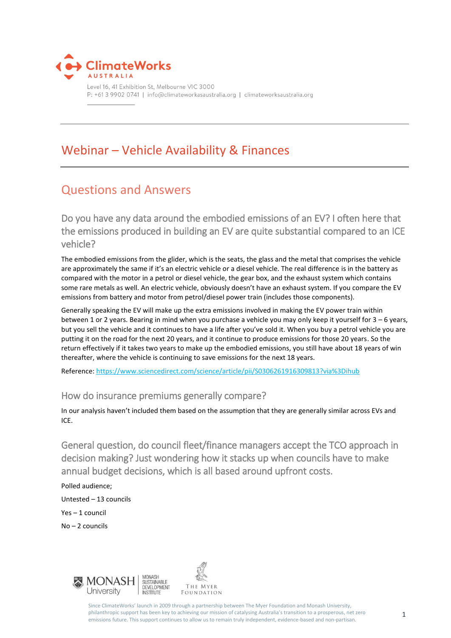

# Webinar – Vehicle Availability & Finances

## Questions and Answers

Do you have any data around the embodied emissions of an EV? I often here that the emissions produced in building an EV are quite substantial compared to an ICE vehicle?

The embodied emissions from the glider, which is the seats, the glass and the metal that comprises the vehicle are approximately the same if it's an electric vehicle or a diesel vehicle. The real difference is in the battery as compared with the motor in a petrol or diesel vehicle, the gear box, and the exhaust system which contains some rare metals as well. An electric vehicle, obviously doesn't have an exhaust system. If you compare the EV emissions from battery and motor from petrol/diesel power train (includes those components).

Generally speaking the EV will make up the extra emissions involved in making the EV power train within between 1 or 2 years. Bearing in mind when you purchase a vehicle you may only keep it yourself for 3 – 6 years, but you sell the vehicle and it continues to have a life after you've sold it. When you buy a petrol vehicle you are putting it on the road for the next 20 years, and it continue to produce emissions for those 20 years. So the return effectively if it takes two years to make up the embodied emissions, you still have about 18 years of win thereafter, where the vehicle is continuing to save emissions for the next 18 years.

Reference:<https://www.sciencedirect.com/science/article/pii/S0306261916309813?via%3Dihub>

## How do insurance premiums generally compare?

In our analysis haven't included them based on the assumption that they are generally similar across EVs and ICE.

General question, do council fleet/finance managers accept the TCO approach in decision making? Just wondering how it stacks up when councils have to make annual budget decisions, which is all based around upfront costs.

Polled audience;

Untested – 13 councils

Yes – 1 council

No – 2 councils



Since ClimateWorks' launch in 2009 through a partnership between The Myer Foundation and Monash University, philanthropic support has been key to achieving our mission of catalysing Australia's transition to a prosperous, net zero emissions future. This support continues to allow us to remain truly independent, evidence-based and non-partisan.